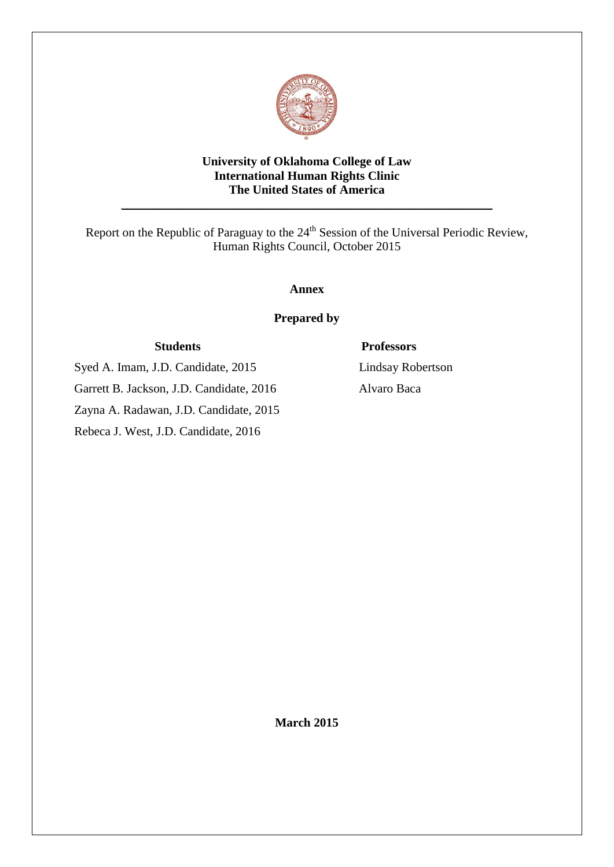

# **University of Oklahoma College of Law International Human Rights Clinic The United States of America**

\_\_\_\_\_\_\_\_\_\_\_\_\_\_\_\_\_\_\_\_\_\_\_\_\_\_\_\_\_\_\_\_\_\_\_\_\_\_\_\_\_\_\_\_\_\_\_\_\_\_\_\_\_\_\_\_\_\_\_\_

Report on the Republic of Paraguay to the 24<sup>th</sup> Session of the Universal Periodic Review, Human Rights Council, October 2015

**Annex**

**Prepared by**

Syed A. Imam, J.D. Candidate, 2015 Lindsay Robertson Garrett B. Jackson, J.D. Candidate, 2016 Alvaro Baca Zayna A. Radawan, J.D. Candidate, 2015

Rebeca J. West, J.D. Candidate, 2016

# **Students Professors**

**March 2015**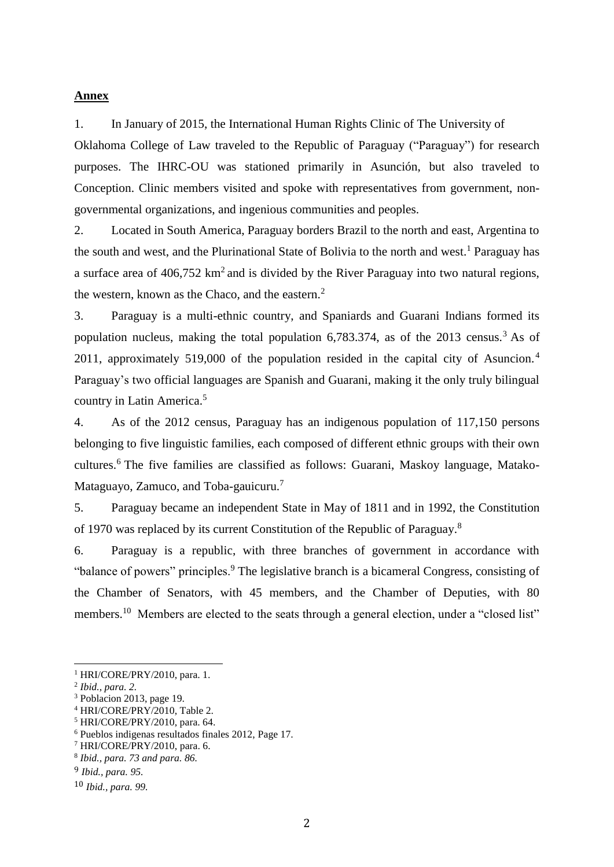### **Annex**

1. In January of 2015, the International Human Rights Clinic of The University of Oklahoma College of Law traveled to the Republic of Paraguay ("Paraguay") for research purposes. The IHRC-OU was stationed primarily in Asunción, but also traveled to Conception. Clinic members visited and spoke with representatives from government, nongovernmental organizations, and ingenious communities and peoples.

2. Located in South America, Paraguay borders Brazil to the north and east, Argentina to the south and west, and the Plurinational State of Bolivia to the north and west.<sup>1</sup> Paraguay has a surface area of  $406,752 \text{ km}^2$  and is divided by the River Paraguay into two natural regions, the western, known as the Chaco, and the eastern. $<sup>2</sup>$ </sup>

3. Paraguay is a multi-ethnic country, and Spaniards and Guarani Indians formed its population nucleus, making the total population  $6,783.374$ , as of the 2013 census.<sup>3</sup> As of 2011, approximately 519,000 of the population resided in the capital city of Asuncion.<sup>4</sup> Paraguay's two official languages are Spanish and Guarani, making it the only truly bilingual country in Latin America.<sup>5</sup>

4. As of the 2012 census, Paraguay has an indigenous population of 117,150 persons belonging to five linguistic families, each composed of different ethnic groups with their own cultures.<sup>6</sup> The five families are classified as follows: Guarani, Maskoy language, Matako-Mataguayo, Zamuco, and Toba-gauicuru.<sup>7</sup>

5. Paraguay became an independent State in May of 1811 and in 1992, the Constitution of 1970 was replaced by its current Constitution of the Republic of Paraguay.<sup>8</sup>

6. Paraguay is a republic, with three branches of government in accordance with "balance of powers" principles.<sup>9</sup> The legislative branch is a bicameral Congress, consisting of the Chamber of Senators, with 45 members, and the Chamber of Deputies, with 80 members.<sup>10</sup> Members are elected to the seats through a general election, under a "closed list"

<sup>1</sup> HRI/CORE/PRY/2010, para. 1.

<sup>2</sup> *Ibid., para. 2.*

<sup>&</sup>lt;sup>3</sup> Poblacion 2013, page 19.

<sup>4</sup> HRI/CORE/PRY/2010, Table 2.

<sup>5</sup> HRI/CORE/PRY/2010, para. 64.

<sup>6</sup> Pueblos indigenas resultados finales 2012, Page 17.

<sup>7</sup> HRI/CORE/PRY/2010, para. 6.

<sup>8</sup> *Ibid., para. 73 and para. 86.*

<sup>9</sup> *Ibid., para. 95.*

<sup>10</sup> *Ibid., para. 99.*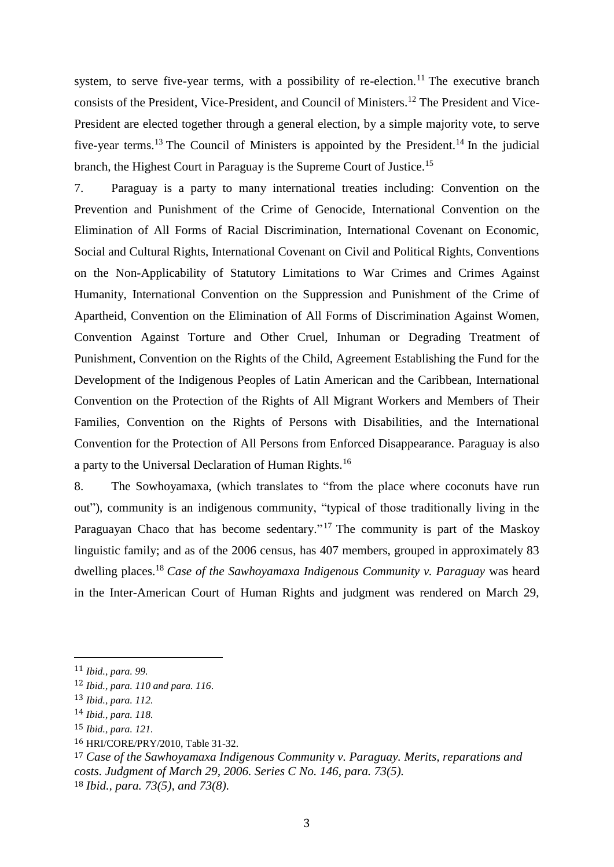system, to serve five-year terms, with a possibility of re-election.<sup>11</sup> The executive branch consists of the President, Vice-President, and Council of Ministers.<sup>12</sup> The President and Vice-President are elected together through a general election, by a simple majority vote, to serve five-year terms.<sup>13</sup> The Council of Ministers is appointed by the President.<sup>14</sup> In the judicial branch, the Highest Court in Paraguay is the Supreme Court of Justice.<sup>15</sup>

7. Paraguay is a party to many international treaties including: Convention on the Prevention and Punishment of the Crime of Genocide, International Convention on the Elimination of All Forms of Racial Discrimination, International Covenant on Economic, Social and Cultural Rights, International Covenant on Civil and Political Rights, Conventions on the Non-Applicability of Statutory Limitations to War Crimes and Crimes Against Humanity, International Convention on the Suppression and Punishment of the Crime of Apartheid, Convention on the Elimination of All Forms of Discrimination Against Women, Convention Against Torture and Other Cruel, Inhuman or Degrading Treatment of Punishment, Convention on the Rights of the Child, Agreement Establishing the Fund for the Development of the Indigenous Peoples of Latin American and the Caribbean, International Convention on the Protection of the Rights of All Migrant Workers and Members of Their Families, Convention on the Rights of Persons with Disabilities, and the International Convention for the Protection of All Persons from Enforced Disappearance. Paraguay is also a party to the Universal Declaration of Human Rights.<sup>16</sup>

8. The Sowhoyamaxa, (which translates to "from the place where coconuts have run out"), community is an indigenous community, "typical of those traditionally living in the Paraguayan Chaco that has become sedentary."<sup>17</sup> The community is part of the Maskoy linguistic family; and as of the 2006 census, has 407 members, grouped in approximately 83 dwelling places.<sup>18</sup> *Case of the Sawhoyamaxa Indigenous Community v. Paraguay* was heard in the Inter-American Court of Human Rights and judgment was rendered on March 29,

<sup>11</sup> *Ibid., para. 99.*

<sup>12</sup> *Ibid., para. 110 and para. 116.*

<sup>13</sup> *Ibid., para. 112.*

<sup>14</sup> *Ibid., para. 118.*

<sup>15</sup> *Ibid., para. 121.*

<sup>16</sup> HRI/CORE/PRY/2010, Table 31-32.

<sup>17</sup> *Case of the Sawhoyamaxa Indigenous Community v. Paraguay. Merits, reparations and costs. Judgment of March 29, 2006. Series C No. 146, para. 73(5).* <sup>18</sup> *Ibid., para. 73(5), and 73(8).*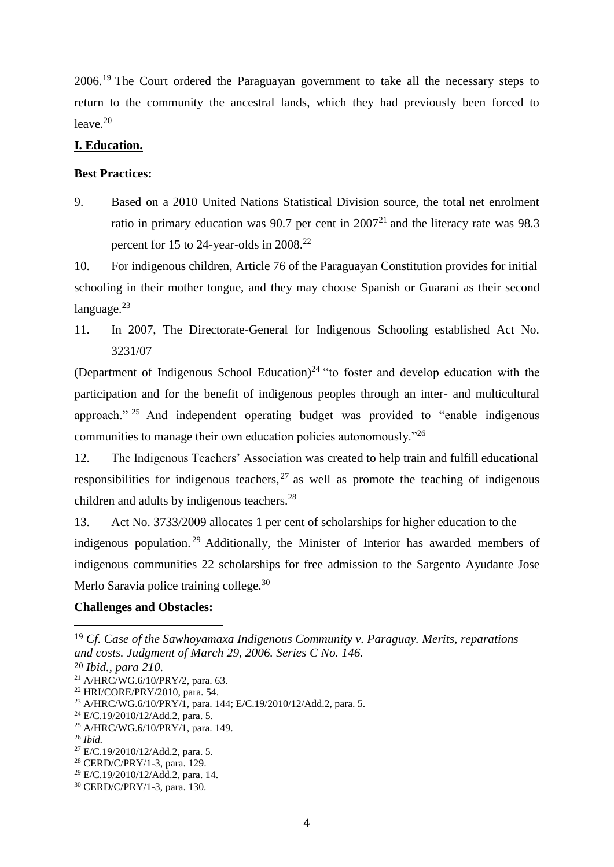2006.<sup>19</sup> The Court ordered the Paraguayan government to take all the necessary steps to return to the community the ancestral lands, which they had previously been forced to  $leave.<sup>20</sup>$ 

# **I. Education.**

# **Best Practices:**

9. Based on a 2010 United Nations Statistical Division source, the total net enrolment ratio in primary education was 90.7 per cent in  $2007<sup>21</sup>$  and the literacy rate was 98.3 percent for 15 to 24-year-olds in 2008.<sup>22</sup>

10. For indigenous children, Article 76 of the Paraguayan Constitution provides for initial schooling in their mother tongue, and they may choose Spanish or Guarani as their second language. $^{23}$ 

11. In 2007, The Directorate-General for Indigenous Schooling established Act No. 3231/07

(Department of Indigenous School Education) $24$  "to foster and develop education with the participation and for the benefit of indigenous peoples through an inter- and multicultural approach." <sup>25</sup> And independent operating budget was provided to "enable indigenous communities to manage their own education policies autonomously."<sup>26</sup>

12. The Indigenous Teachers' Association was created to help train and fulfill educational responsibilities for indigenous teachers,  $27$  as well as promote the teaching of indigenous children and adults by indigenous teachers.<sup>28</sup>

13. Act No. 3733/2009 allocates 1 per cent of scholarships for higher education to the indigenous population. <sup>29</sup> Additionally, the Minister of Interior has awarded members of indigenous communities 22 scholarships for free admission to the Sargento Ayudante Jose Merlo Saravia police training college.<sup>30</sup>

# **Challenges and Obstacles:**

<sup>19</sup> *Cf. Case of the Sawhoyamaxa Indigenous Community v. Paraguay. Merits, reparations and costs. Judgment of March 29, 2006. Series C No. 146.*

<sup>20</sup> *Ibid., para 210.*

<sup>21</sup> A/HRC/WG.6/10/PRY/2, para. 63.

<sup>22</sup> HRI/CORE/PRY/2010, para. 54.

<sup>&</sup>lt;sup>23</sup> A/HRC/WG.6/10/PRY/1, para. 144; E/C.19/2010/12/Add.2, para. 5.

 $^{24}$  E/C.19/2010/12/Add.2, para. 5.

 $^{25}$  A/HRC/WG.6/10/PRY/1, para. 149.

<sup>26</sup> *Ibid.*

 $^{27}$  E/C.19/2010/12/Add.2, para. 5.

<sup>28</sup> CERD/C/PRY/1-3, para. 129.

 $^{29}$  E/C.19/2010/12/Add.2, para. 14.

<sup>30</sup> CERD/C/PRY/1-3, para. 130.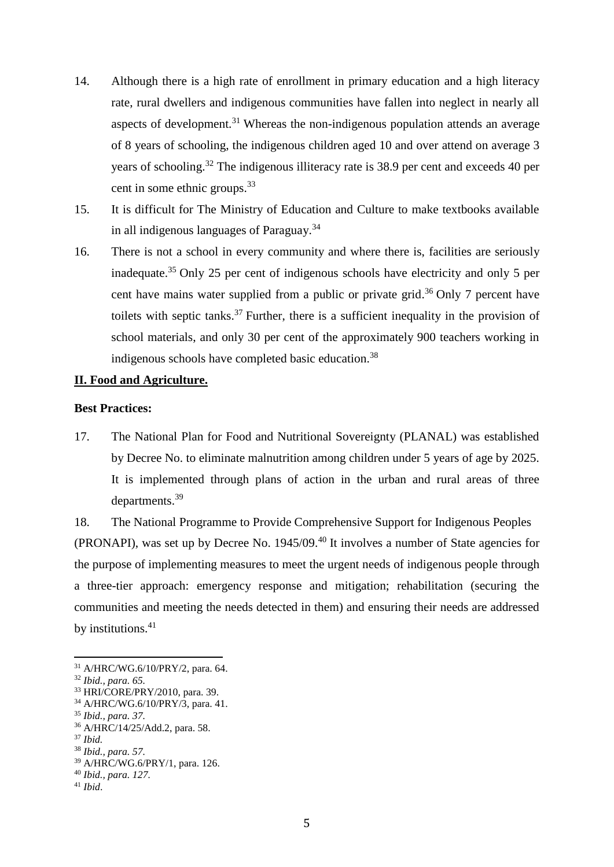- 14. Although there is a high rate of enrollment in primary education and a high literacy rate, rural dwellers and indigenous communities have fallen into neglect in nearly all aspects of development.<sup>31</sup> Whereas the non-indigenous population attends an average of 8 years of schooling, the indigenous children aged 10 and over attend on average 3 years of schooling.<sup>32</sup> The indigenous illiteracy rate is 38.9 per cent and exceeds 40 per cent in some ethnic groups.<sup>33</sup>
- 15. It is difficult for The Ministry of Education and Culture to make textbooks available in all indigenous languages of Paraguay.<sup>34</sup>
- 16. There is not a school in every community and where there is, facilities are seriously inadequate.<sup>35</sup> Only 25 per cent of indigenous schools have electricity and only 5 per cent have mains water supplied from a public or private grid.<sup>36</sup> Only 7 percent have toilets with septic tanks.<sup>37</sup> Further, there is a sufficient inequality in the provision of school materials, and only 30 per cent of the approximately 900 teachers working in indigenous schools have completed basic education.<sup>38</sup>

# **II. Food and Agriculture.**

#### **Best Practices:**

17. The National Plan for Food and Nutritional Sovereignty (PLANAL) was established by Decree No. to eliminate malnutrition among children under 5 years of age by 2025. It is implemented through plans of action in the urban and rural areas of three departments. 39

18. The National Programme to Provide Comprehensive Support for Indigenous Peoples (PRONAPI), was set up by Decree No. 1945/09.<sup>40</sup> It involves a number of State agencies for the purpose of implementing measures to meet the urgent needs of indigenous people through a three-tier approach: emergency response and mitigation; rehabilitation (securing the communities and meeting the needs detected in them) and ensuring their needs are addressed by institutions.<sup>41</sup>

<sup>31</sup> A/HRC/WG.6/10/PRY/2, para. 64.

<sup>32</sup> *Ibid., para. 65.*

<sup>33</sup> HRI/CORE/PRY/2010, para. 39.

<sup>34</sup> A/HRC/WG.6/10/PRY/3, para. 41.

<sup>35</sup> *Ibid., para. 37.*

<sup>36</sup> A/HRC/14/25/Add.2, para. 58.

<sup>37</sup> *Ibid.*

<sup>38</sup> *Ibid., para. 57.*

<sup>39</sup> A/HRC/WG.6/PRY/1, para. 126.

<sup>40</sup> *Ibid., para. 127.*

<sup>41</sup> *Ibid*.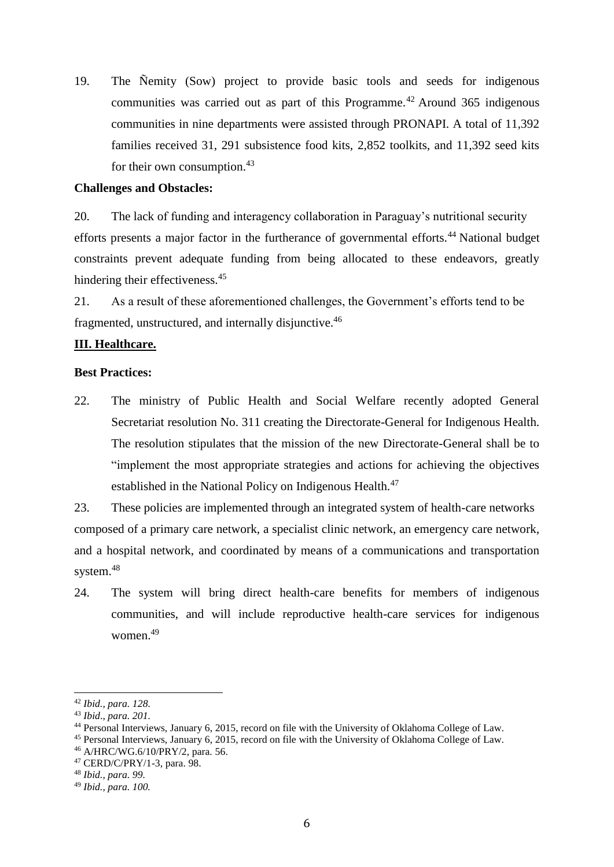19. The Ñemity (Sow) project to provide basic tools and seeds for indigenous communities was carried out as part of this Programme.<sup>42</sup> Around 365 indigenous communities in nine departments were assisted through PRONAPI. A total of 11,392 families received 31, 291 subsistence food kits, 2,852 toolkits, and 11,392 seed kits for their own consumption.<sup>43</sup>

## **Challenges and Obstacles:**

20. The lack of funding and interagency collaboration in Paraguay's nutritional security efforts presents a major factor in the furtherance of governmental efforts.<sup>44</sup> National budget constraints prevent adequate funding from being allocated to these endeavors, greatly hindering their effectiveness.<sup>45</sup>

21. As a result of these aforementioned challenges, the Government's efforts tend to be fragmented, unstructured, and internally disjunctive.<sup>46</sup>

## **III. Healthcare.**

### **Best Practices:**

22. The ministry of Public Health and Social Welfare recently adopted General Secretariat resolution No. 311 creating the Directorate-General for Indigenous Health. The resolution stipulates that the mission of the new Directorate-General shall be to "implement the most appropriate strategies and actions for achieving the objectives established in the National Policy on Indigenous Health.<sup>47</sup>

23. These policies are implemented through an integrated system of health-care networks composed of a primary care network, a specialist clinic network, an emergency care network, and a hospital network, and coordinated by means of a communications and transportation system.<sup>48</sup>

24. The system will bring direct health-care benefits for members of indigenous communities, and will include reproductive health-care services for indigenous women.<sup>49</sup>

<sup>&</sup>lt;u>.</u> <sup>42</sup> *Ibid., para. 128.*

<sup>43</sup> *Ibid*., *para. 201.*

<sup>&</sup>lt;sup>44</sup> Personal Interviews, January 6, 2015, record on file with the University of Oklahoma College of Law.

<sup>45</sup> Personal Interviews, January 6, 2015, record on file with the University of Oklahoma College of Law.

<sup>46</sup> A/HRC/WG.6/10/PRY/2, para. 56.

<sup>47</sup> CERD/C/PRY/1-3, para. 98.

<sup>48</sup> *Ibid., para. 99.*

<sup>49</sup> *Ibid., para. 100.*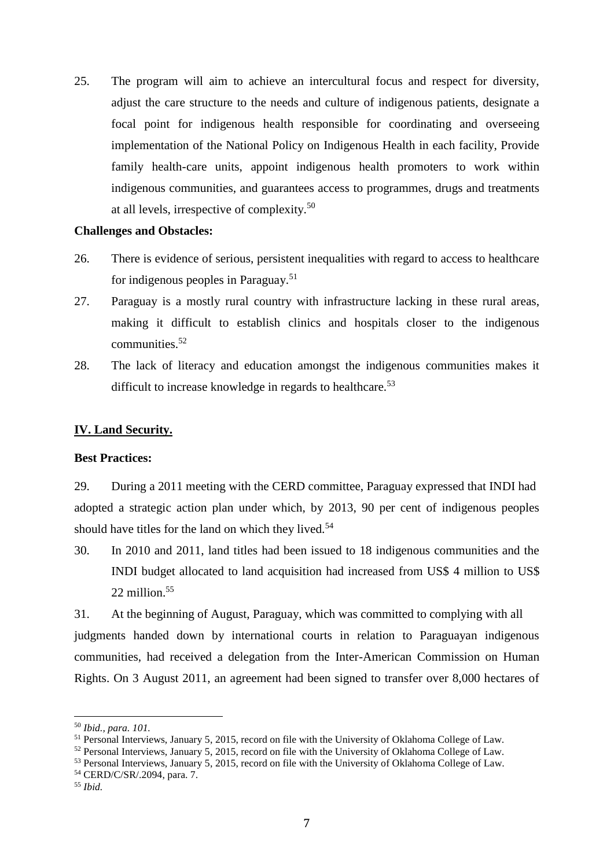25. The program will aim to achieve an intercultural focus and respect for diversity, adjust the care structure to the needs and culture of indigenous patients, designate a focal point for indigenous health responsible for coordinating and overseeing implementation of the National Policy on Indigenous Health in each facility, Provide family health-care units, appoint indigenous health promoters to work within indigenous communities, and guarantees access to programmes, drugs and treatments at all levels, irrespective of complexity.<sup>50</sup>

#### **Challenges and Obstacles:**

- 26. There is evidence of serious, persistent inequalities with regard to access to healthcare for indigenous peoples in Paraguay.<sup>51</sup>
- 27. Paraguay is a mostly rural country with infrastructure lacking in these rural areas, making it difficult to establish clinics and hospitals closer to the indigenous communities.<sup>52</sup>
- 28. The lack of literacy and education amongst the indigenous communities makes it difficult to increase knowledge in regards to healthcare.<sup>53</sup>

#### **IV. Land Security.**

## **Best Practices:**

29. During a 2011 meeting with the CERD committee, Paraguay expressed that INDI had adopted a strategic action plan under which, by 2013, 90 per cent of indigenous peoples should have titles for the land on which they lived. $54$ 

30. In 2010 and 2011, land titles had been issued to 18 indigenous communities and the INDI budget allocated to land acquisition had increased from US\$ 4 million to US\$ 22 million $55$ 

31. At the beginning of August, Paraguay, which was committed to complying with all judgments handed down by international courts in relation to Paraguayan indigenous communities, had received a delegation from the Inter-American Commission on Human Rights. On 3 August 2011, an agreement had been signed to transfer over 8,000 hectares of

<sup>50</sup> *Ibid., para. 101.*

<sup>51</sup> Personal Interviews, January 5, 2015, record on file with the University of Oklahoma College of Law.

<sup>52</sup> Personal Interviews, January 5, 2015, record on file with the University of Oklahoma College of Law.

<sup>53</sup> Personal Interviews, January 5, 2015, record on file with the University of Oklahoma College of Law.

<sup>54</sup> CERD/C/SR/.2094, para. 7.

<sup>55</sup> *Ibid.*